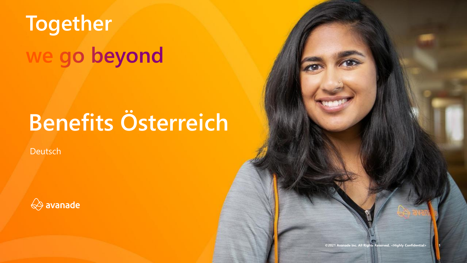# **Together** we go beyond

## **Benefits Österreich**

Deutsch



**©2021 Avanade Inc. All Rights Reserved. <Highly Confidential> 1**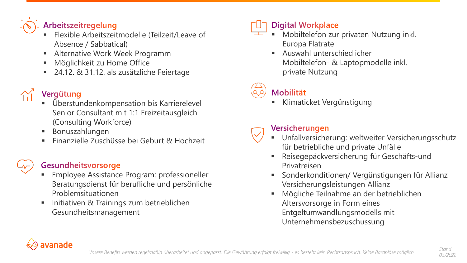### Arbeitszeitregelung

- Flexible Arbeitszeitmodelle (Teilzeit/Leave of Absence / Sabbatical)
- Alternative Work Week Programm
- **■** Möglichkeit zu Home Office
- 24.12. & 31.12. als zusätzliche Feiertage

### Vergütung

- Überstundenkompensation bis Karrierelevel Senior Consultant mit 1:1 Freizeitausgleich (Consulting Workforce)
- Bonuszahlungen
- 

### Gesundheitsvorsorge

- **Employee Assistance Program: professioneller** Beratungsdienst für berufliche und persönliche Problemsituationen
- **■** Initiativen & Trainings zum betrieblichen Gesundheitsmanagement

### **Digital Workplace**

- Mobiltelefon zur privaten Nutzung inkl. Europa Flatrate
	- Auswahl unterschiedlicher Mobiltelefon- & Laptopmodelle inkl. private Nutzung

### **Mobilität**

Klimaticket Vergünstigung

### Versicherungen

- Einanzielle Zuschüsse bei Geburt & Hochzeit **Wirch Wirtherman** Unfallversicherung: weltweiter Versicherungsschutz für betriebliche und private Unfälle
	- Reisegepäckversicherung für Geschäfts-und Privatreisen
	- Sonderkonditionen/ Vergünstigungen für Allianz Versicherungsleistungen Allianz
	- Mögliche Teilnahme an der betrieblichen Altersvorsorge in Form eines Entgeltumwandlungsmodells mit Unternehmensbezuschussung

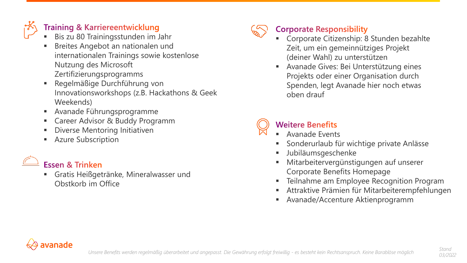### **Training & Karriereentwicklung**

- Bis zu 80 Trainingsstunden im Jahr
- Breites Angebot an nationalen und internationalen Trainings sowie kostenlose Nutzung des Microsoft Zertifizierungsprogramms
- Regelmäßige Durchführung von Innovationsworkshops (z.B. Hackathons & Geek Weekends)
- Avanade Führungsprogramme
- Career Advisor & Buddy Programm
- **Diverse Mentoring Initiativen**
- **Azure Subscription**

### Essen & Trinken

Gratis Heißgetränke, Mineralwasser und Obstkorb im Office



### **Corporate Responsibility**

- Corporate Citizenship: 8 Stunden bezahlte Zeit, um ein gemeinnütziges Projekt (deiner Wahl) zu unterstützen
- Avanade Gives: Bei Unterstützung eines Projekts oder einer Organisation durch Spenden, legt Avanade hier noch etwas oben drauf



### **Weitere Benefits**

- Avanade Events
- Sonderurlaub für wichtige private Anlässe
- Jubiläumsgeschenke
- Mitarbeitervergünstigungen auf unserer Corporate Benefits Homepage
- Teilnahme am Employee Recognition Program
- Attraktive Prämien für Mitarbeiterempfehlungen
- Avanade/Accenture Aktienprogramm

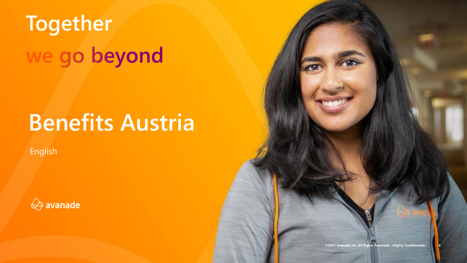# **Together** we go beyond

## **Benefits Austria**

English



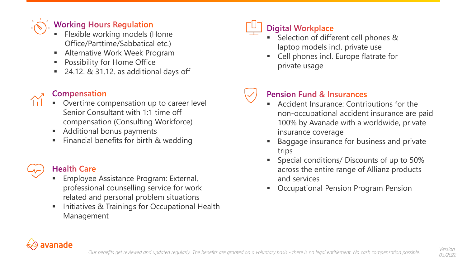### **Working Hours Regulation**

- **Flexible working models (Home** Office/Parttime/Sabbatical etc.)
- Alternative Work Week Program
- Possibility for Home Office
- $24.12.$  & 31.12. as additional days off

### **Compensation**

- Overtime compensation up to career level Senior Consultant with 1:1 time off compensation (Consulting Workforce)
- Additional bonus payments
- Financial benefits for birth & wedding

### **Health Care**

- **Employee Assistance Program: External,** professional counselling service for work related and personal problem situations
- Initiatives & Trainings for Occupational Health Management



### **Digital Workplace**

- Selection of different cell phones & laptop models incl. private use
- Cell phones incl. Europe flatrate for private usage

### **Pension Fund & Insurances**

- Accident Insurance: Contributions for the non-occupational accident insurance are paid 100% by Avanade with a worldwide, private insurance coverage
- Baggage insurance for business and private trips
- Special conditions/ Discounts of up to 50% across the entire range of Allianz products and services
- **Occupational Pension Program Pension**



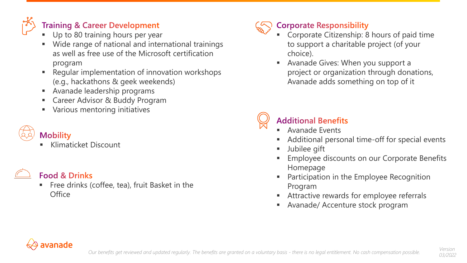

### **Training & Career Development**

- Up to 80 training hours per year
- Wide range of national and international trainings as well as free use of the Microsoft certification program
- Regular implementation of innovation workshops (e.g., hackathons & geek weekends)
- **EXEC** Avanade leadership programs
- Career Advisor & Buddy Program
- Various mentoring initiatives

### **Mobility**

**Klimaticket Discount** 



### **Food & Drinks**

Free drinks (coffee, tea), fruit Basket in the **Office** 



### **Corporate Responsibility**

- Corporate Citizenship: 8 hours of paid time to support a charitable project (of your choice).
- Avanade Gives: When you support a project or organization through donations, Avanade adds something on top of it



### **Additional Benefits**

- **Avanade Events**
- Additional personal time-off for special events
- **■** Jubilee gift
- Employee discounts on our Corporate Benefits Homepage
- Participation in the Employee Recognition Program
- Attractive rewards for employee referrals
- **EXEC** Avanade/ Accenture stock program